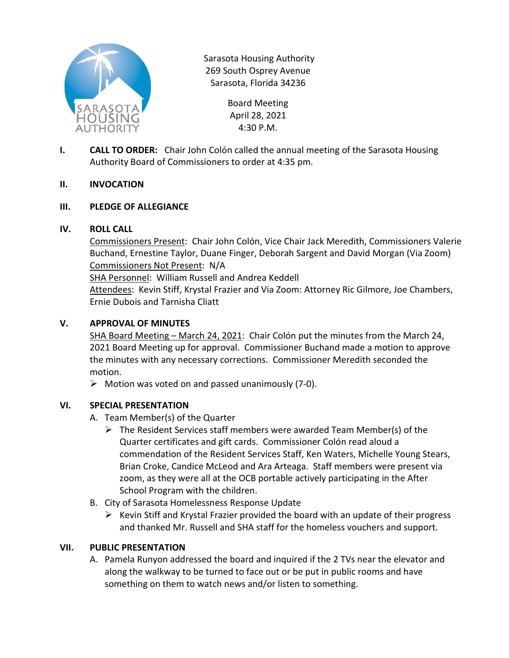

Sarasota Housing Authority 269 South Osprey Avenue Sarasota, Florida 34236

> Board Meeting April 28, 2021 4:30 P.M.

**I. CALL TO ORDER:** Chair John Colón called the annual meeting of the Sarasota Housing Authority Board of Commissioners to order at 4:35 pm.

### **II. INVOCATION**

### **III. PLEDGE OF ALLEGIANCE**

### **IV. ROLL CALL**

Commissioners Present: Chair John Colón, Vice Chair Jack Meredith, Commissioners Valerie Buchand, Ernestine Taylor, Duane Finger, Deborah Sargent and David Morgan (Via Zoom) Commissioners Not Present: N/A

SHA Personnel: William Russell and Andrea Keddell

Attendees: Kevin Stiff, Krystal Frazier and Via Zoom: Attorney Ric Gilmore, Joe Chambers, Ernie Dubois and Tarnisha Cliatt

### **V. APPROVAL OF MINUTES**

SHA Board Meeting – March 24, 2021: Chair Colón put the minutes from the March 24, 2021 Board Meeting up for approval. Commissioner Buchand made a motion to approve the minutes with any necessary corrections. Commissioner Meredith seconded the motion.

 $\triangleright$  Motion was voted on and passed unanimously (7-0).

#### **VI. SPECIAL PRESENTATION**

- A. Team Member(s) of the Quarter
	- $\triangleright$  The Resident Services staff members were awarded Team Member(s) of the Quarter certificates and gift cards. Commissioner Colón read aloud a commendation of the Resident Services Staff, Ken Waters, Michelle Young Stears, Brian Croke, Candice McLeod and Ara Arteaga. Staff members were present via zoom, as they were all at the OCB portable actively participating in the After School Program with the children.
- B. City of Sarasota Homelessness Response Update
	- $\triangleright$  Kevin Stiff and Krystal Frazier provided the board with an update of their progress and thanked Mr. Russell and SHA staff for the homeless vouchers and support.

#### **VII. PUBLIC PRESENTATION**

A. Pamela Runyon addressed the board and inquired if the 2 TVs near the elevator and along the walkway to be turned to face out or be put in public rooms and have something on them to watch news and/or listen to something.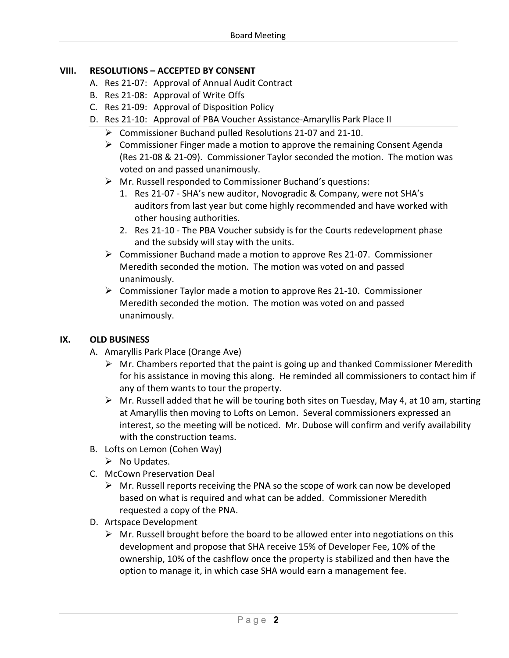# **VIII. RESOLUTIONS – ACCEPTED BY CONSENT**

- A. Res 21-07: Approval of Annual Audit Contract
- B. Res 21-08: Approval of Write Offs
- C. Res 21-09: Approval of Disposition Policy
- D. Res 21-10: Approval of PBA Voucher Assistance-Amaryllis Park Place II
	- Commissioner Buchand pulled Resolutions 21-07 and 21-10.
	- $\triangleright$  Commissioner Finger made a motion to approve the remaining Consent Agenda (Res 21-08 & 21-09). Commissioner Taylor seconded the motion. The motion was voted on and passed unanimously.
	- Mr. Russell responded to Commissioner Buchand's questions:
		- 1. Res 21-07 SHA's new auditor, Novogradic & Company, were not SHA's auditors from last year but come highly recommended and have worked with other housing authorities.
		- 2. Res 21-10 The PBA Voucher subsidy is for the Courts redevelopment phase and the subsidy will stay with the units.
	- $\triangleright$  Commissioner Buchand made a motion to approve Res 21-07. Commissioner Meredith seconded the motion. The motion was voted on and passed unanimously.
	- $\triangleright$  Commissioner Taylor made a motion to approve Res 21-10. Commissioner Meredith seconded the motion. The motion was voted on and passed unanimously.

# **IX. OLD BUSINESS**

- A. Amaryllis Park Place (Orange Ave)
	- $\triangleright$  Mr. Chambers reported that the paint is going up and thanked Commissioner Meredith for his assistance in moving this along. He reminded all commissioners to contact him if any of them wants to tour the property.
	- $\triangleright$  Mr. Russell added that he will be touring both sites on Tuesday, May 4, at 10 am, starting at Amaryllis then moving to Lofts on Lemon. Several commissioners expressed an interest, so the meeting will be noticed. Mr. Dubose will confirm and verify availability with the construction teams.
- B. Lofts on Lemon (Cohen Way)
	- $\triangleright$  No Updates.
- C. McCown Preservation Deal
	- $\triangleright$  Mr. Russell reports receiving the PNA so the scope of work can now be developed based on what is required and what can be added. Commissioner Meredith requested a copy of the PNA.
- D. Artspace Development
	- $\triangleright$  Mr. Russell brought before the board to be allowed enter into negotiations on this development and propose that SHA receive 15% of Developer Fee, 10% of the ownership, 10% of the cashflow once the property is stabilized and then have the option to manage it, in which case SHA would earn a management fee.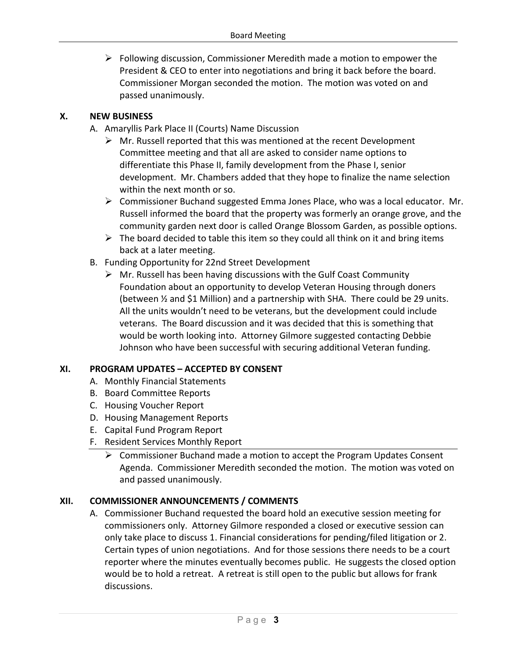$\triangleright$  Following discussion, Commissioner Meredith made a motion to empower the President & CEO to enter into negotiations and bring it back before the board. Commissioner Morgan seconded the motion. The motion was voted on and passed unanimously.

## **X. NEW BUSINESS**

- A. Amaryllis Park Place II (Courts) Name Discussion
	- $\triangleright$  Mr. Russell reported that this was mentioned at the recent Development Committee meeting and that all are asked to consider name options to differentiate this Phase II, family development from the Phase I, senior development. Mr. Chambers added that they hope to finalize the name selection within the next month or so.
	- $\triangleright$  Commissioner Buchand suggested Emma Jones Place, who was a local educator. Mr. Russell informed the board that the property was formerly an orange grove, and the community garden next door is called Orange Blossom Garden, as possible options.
	- $\triangleright$  The board decided to table this item so they could all think on it and bring items back at a later meeting.
- B. Funding Opportunity for 22nd Street Development
	- $\triangleright$  Mr. Russell has been having discussions with the Gulf Coast Community Foundation about an opportunity to develop Veteran Housing through doners (between  $\frac{1}{2}$  and \$1 Million) and a partnership with SHA. There could be 29 units. All the units wouldn't need to be veterans, but the development could include veterans. The Board discussion and it was decided that this is something that would be worth looking into. Attorney Gilmore suggested contacting Debbie Johnson who have been successful with securing additional Veteran funding.

# **XI. PROGRAM UPDATES – ACCEPTED BY CONSENT**

- A. Monthly Financial Statements
- B. Board Committee Reports
- C. Housing Voucher Report
- D. Housing Management Reports
- E. Capital Fund Program Report
- F. Resident Services Monthly Report
	- $\triangleright$  Commissioner Buchand made a motion to accept the Program Updates Consent Agenda. Commissioner Meredith seconded the motion. The motion was voted on and passed unanimously.

# **XII. COMMISSIONER ANNOUNCEMENTS / COMMENTS**

A. Commissioner Buchand requested the board hold an executive session meeting for commissioners only. Attorney Gilmore responded a closed or executive session can only take place to discuss 1. Financial considerations for pending/filed litigation or 2. Certain types of union negotiations. And for those sessions there needs to be a court reporter where the minutes eventually becomes public. He suggests the closed option would be to hold a retreat. A retreat is still open to the public but allows for frank discussions.